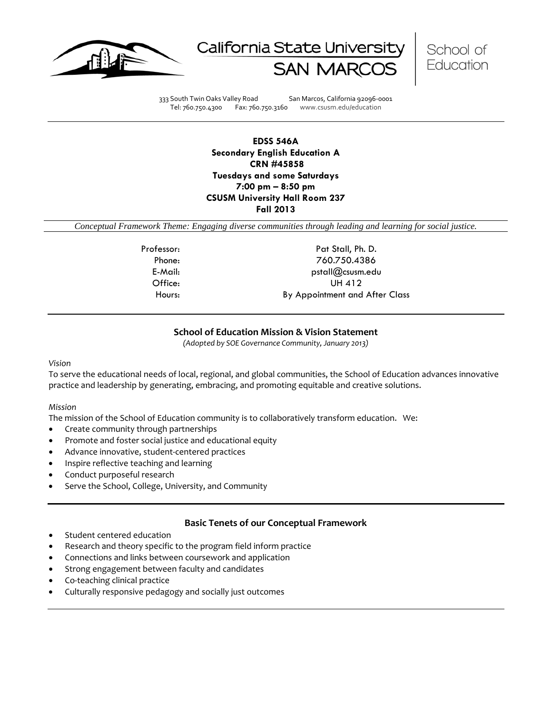





333 South Twin Oaks Valley Road San Marcos, California 92096-0001 Tel: 760.750.4300 Fax: 760.750.3160 www.csusm.edu/education

**EDSS 546A Secondary English Education A CRN #45858 Tuesdays and some Saturdays 7:00 pm – 8:50 pm CSUSM University Hall Room 237 Fall 2013** 

*Conceptual Framework Theme: Engaging diverse communities through leading and learning for social justice.*

Professor: Pat Stall, Ph. D. Phone: 760.750.4386 E-Mail: pstall@csusm.edu Office: UH 412 Hours: By Appointment and After Class

# **School of Education Mission & Vision Statement**

*(Adopted by SOE Governance Community, January 2013)*

#### *Vision*

To serve the educational needs of local, regional, and global communities, the School of Education advances innovative practice and leadership by generating, embracing, and promoting equitable and creative solutions.

# *Mission*

The mission of the School of Education community is to collaboratively transform education. We:

- Create community through partnerships
- Promote and foster social justice and educational equity
- Advance innovative, student-centered practices
- Inspire reflective teaching and learning
- Conduct purposeful research
- Serve the School, College, University, and Community

# **Basic Tenets of our Conceptual Framework**

- Student centered education
- Research and theory specific to the program field inform practice
- Connections and links between coursework and application
- Strong engagement between faculty and candidates
- Co-teaching clinical practice
- Culturally responsive pedagogy and socially just outcomes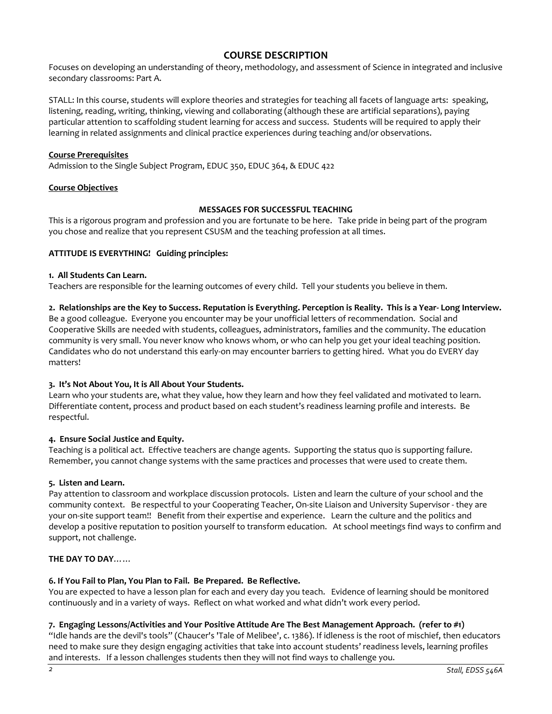# **COURSE DESCRIPTION**

Focuses on developing an understanding of theory, methodology, and assessment of Science in integrated and inclusive secondary classrooms: Part A.

STALL: In this course, students will explore theories and strategies for teaching all facets of language arts: speaking, listening, reading, writing, thinking, viewing and collaborating (although these are artificial separations), paying particular attention to scaffolding student learning for access and success. Students will be required to apply their learning in related assignments and clinical practice experiences during teaching and/or observations.

# **Course Prerequisites**

Admission to the Single Subject Program, EDUC 350, EDUC 364, & EDUC 422

# **Course Objectives**

# **MESSAGES FOR SUCCESSFUL TEACHING**

This is a rigorous program and profession and you are fortunate to be here. Take pride in being part of the program you chose and realize that you represent CSUSM and the teaching profession at all times.

# **ATTITUDE IS EVERYTHING! Guiding principles:**

#### **1. All Students Can Learn.**

Teachers are responsible for the learning outcomes of every child. Tell your students you believe in them.

# **2. Relationships are the Key to Success. Reputation is Everything. Perception is Reality. This is a Year- Long Interview.**

Be a good colleague. Everyone you encounter may be your unofficial letters of recommendation. Social and Cooperative Skills are needed with students, colleagues, administrators, families and the community. The education community is very small. You never know who knows whom, or who can help you get your ideal teaching position. Candidates who do not understand this early-on may encounter barriers to getting hired. What you do EVERY day matters!

# **3. It's Not About You, It is All About Your Students.**

Learn who your students are, what they value, how they learn and how they feel validated and motivated to learn. Differentiate content, process and product based on each student's readiness learning profile and interests. Be respectful.

# **4. Ensure Social Justice and Equity.**

Teaching is a political act. Effective teachers are change agents. Supporting the status quo is supporting failure. Remember, you cannot change systems with the same practices and processes that were used to create them.

# **5. Listen and Learn.**

Pay attention to classroom and workplace discussion protocols. Listen and learn the culture of your school and the community context. Be respectful to your Cooperating Teacher, On-site Liaison and University Supervisor - they are your on-site support team!! Benefit from their expertise and experience. Learn the culture and the politics and develop a positive reputation to position yourself to transform education. At school meetings find ways to confirm and support, not challenge.

# **THE DAY TO DAY**……

# **6. If You Fail to Plan, You Plan to Fail. Be Prepared. Be Reflective.**

You are expected to have a lesson plan for each and every day you teach. Evidence of learning should be monitored continuously and in a variety of ways. Reflect on what worked and what didn't work every period.

# **7. Engaging Lessons/Activities and Your Positive Attitude Are The Best Management Approach. (refer to #1)**

"Idle hands are the devil's tools" (Chaucer's 'Tale of Melibee', c. 1386). If idleness is the root of mischief, then educators need to make sure they design engaging activities that take into account students' readiness levels, learning profiles and interests. If a lesson challenges students then they will not find ways to challenge you.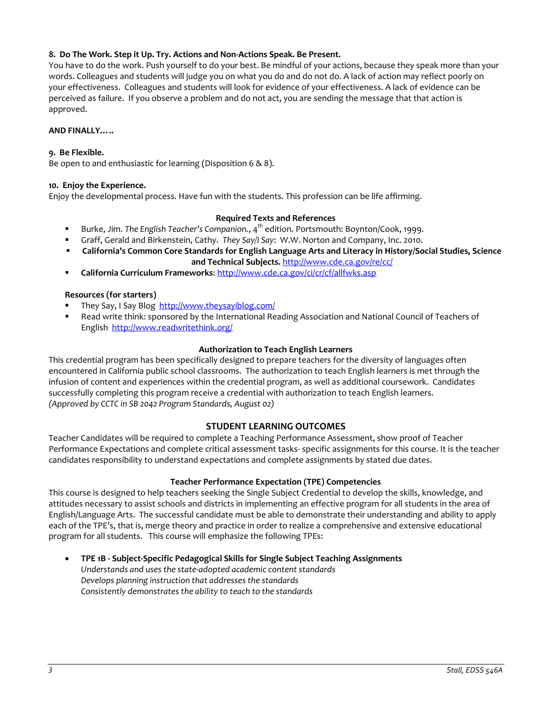# **8. Do The Work. Step it Up. Try. Actions and Non-Actions Speak. Be Present.**

You have to do the work. Push yourself to do your best. Be mindful of your actions, because they speak more than your words. Colleagues and students will judge you on what you do and do not do. A lack of action may reflect poorly on your effectiveness. Colleagues and students will look for evidence of your effectiveness. A lack of evidence can be perceived as failure. If you observe a problem and do not act, you are sending the message that that action is approved.

# **AND FINALLY…..**

# **9. Be Flexible.**

Be open to and enthusiastic for learning (Disposition 6 & 8).

# **10. Enjoy the Experience.**

Enjoy the developmental process. Have fun with the students. This profession can be life affirming.

# **Required Texts and References**

- Burke, Jim. The English Teacher's Companion., 4<sup>th</sup> edition. Portsmouth: Boynton/Cook, 1999.
- Graff, Gerald and Birkenstein, Cathy. *They Say/I Say*: W.W. Norton and Company, Inc. 2010.
- **California's Common Core Standards for English Language Arts and Literacy in History/Social Studies, Science**

**and Technical Subjects.** <http://www.cde.ca.gov/re/cc/>

**California Curriculum Frameworks**:<http://www.cde.ca.gov/ci/cr/cf/allfwks.asp>

# **Resources (for starters)**

- They Say, I Say Blog <http://www.theysayiblog.com/>
- Read write think: sponsored by the International Reading Association and National Council of Teachers of English<http://www.readwritethink.org/>

# **Authorization to Teach English Learners**

This credential program has been specifically designed to prepare teachers for the diversity of languages often encountered in California public school classrooms. The authorization to teach English learners is met through the infusion of content and experiences within the credential program, as well as additional coursework. Candidates successfully completing this program receive a credential with authorization to teach English learners. *(Approved by CCTC in SB 2042 Program Standards, August 02)*

# **STUDENT LEARNING OUTCOMES**

Teacher Candidates will be required to complete a Teaching Performance Assessment, show proof of Teacher Performance Expectations and complete critical assessment tasks- specific assignments for this course. It is the teacher candidates responsibility to understand expectations and complete assignments by stated due dates.

# **Teacher Performance Expectation (TPE) Competencies**

This course is designed to help teachers seeking the Single Subject Credential to develop the skills, knowledge, and attitudes necessary to assist schools and districts in implementing an effective program for all students in the area of English/Language Arts. The successful candidate must be able to demonstrate their understanding and ability to apply each of the TPE's, that is, merge theory and practice in order to realize a comprehensive and extensive educational program for all students. This course will emphasize the following TPEs:

• **TPE 1B - Subject-Specific Pedagogical Skills for Single Subject Teaching Assignments** *Understands and uses the state-adopted academic content standards Develops planning instruction that addresses the standards Consistently demonstrates the ability to teach to the standards*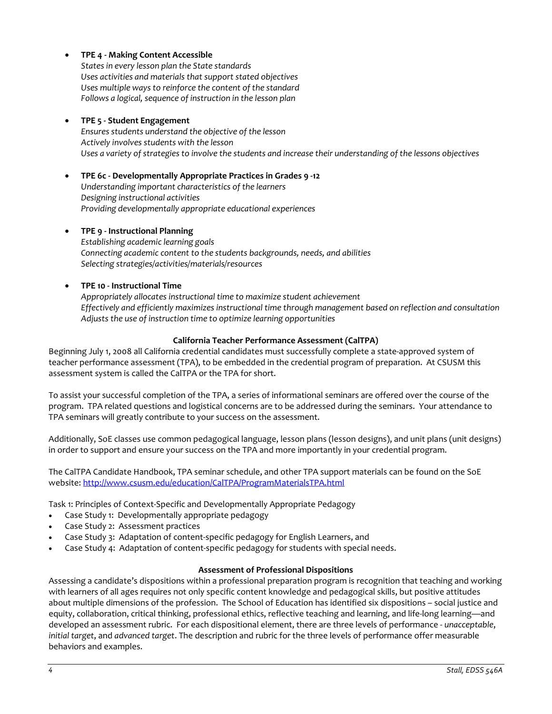# • **TPE 4 - Making Content Accessible**

*States in every lesson plan the State standards Uses activities and materials that support stated objectives Uses multiple ways to reinforce the content of the standard Follows a logical, sequence of instruction in the lesson plan*

# • **TPE 5 - Student Engagement**

*Ensures students understand the objective of the lesson Actively involves students with the lesson Uses a variety of strategies to involve the students and increase their understanding of the lessons objectives*

# • **TPE 6c - Developmentally Appropriate Practices in Grades 9 -12**

*Understanding important characteristics of the learners Designing instructional activities Providing developmentally appropriate educational experiences*

# • **TPE 9 - Instructional Planning**

*Establishing academic learning goals Connecting academic content to the students backgrounds, needs, and abilities Selecting strategies/activities/materials/resources*

# • **TPE 10 - Instructional Time**

*Appropriately allocates instructional time to maximize student achievement Effectively and efficiently maximizes instructional time through management based on reflection and consultation Adjusts the use of instruction time to optimize learning opportunities*

# **California Teacher Performance Assessment (CalTPA)**

Beginning July 1, 2008 all California credential candidates must successfully complete a state-approved system of teacher performance assessment (TPA), to be embedded in the credential program of preparation. At CSUSM this assessment system is called the CalTPA or the TPA for short.

To assist your successful completion of the TPA, a series of informational seminars are offered over the course of the program. TPA related questions and logistical concerns are to be addressed during the seminars. Your attendance to TPA seminars will greatly contribute to your success on the assessment.

Additionally, SoE classes use common pedagogical language, lesson plans (lesson designs), and unit plans (unit designs) in order to support and ensure your success on the TPA and more importantly in your credential program.

The CalTPA Candidate Handbook, TPA seminar schedule, and other TPA support materials can be found on the SoE website: <http://www.csusm.edu/education/CalTPA/ProgramMaterialsTPA.html>

Task 1: Principles of Context-Specific and Developmentally Appropriate Pedagogy

- Case Study 1: Developmentally appropriate pedagogy
- Case Study 2: Assessment practices
- Case Study 3: Adaptation of content-specific pedagogy for English Learners, and
- Case Study 4: Adaptation of content-specific pedagogy for students with special needs.

# **Assessment of Professional Dispositions**

Assessing a candidate's dispositions within a professional preparation program is recognition that teaching and working with learners of all ages requires not only specific content knowledge and pedagogical skills, but positive attitudes about multiple dimensions of the profession. The School of Education has identified six dispositions – social justice and equity, collaboration, critical thinking, professional ethics, reflective teaching and learning, and life-long learning—and developed an assessment rubric. For each dispositional element, there are three levels of performance - *unacceptable*, *initial target*, and *advanced target*. The description and rubric for the three levels of performance offer measurable behaviors and examples.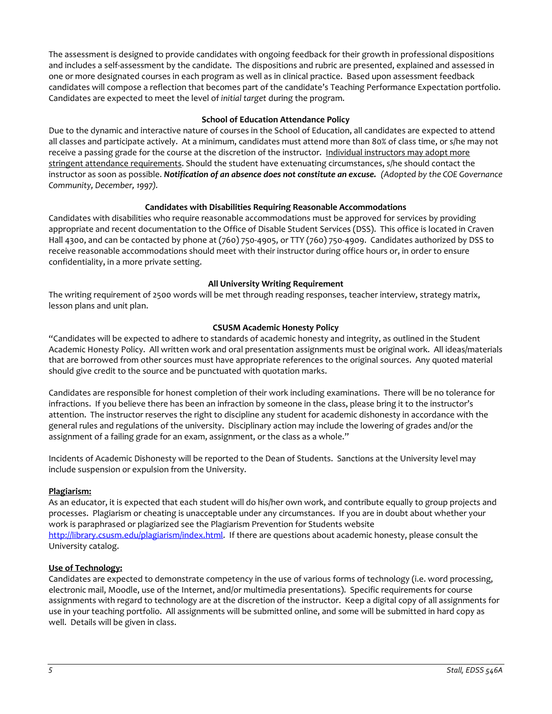The assessment is designed to provide candidates with ongoing feedback for their growth in professional dispositions and includes a self-assessment by the candidate. The dispositions and rubric are presented, explained and assessed in one or more designated courses in each program as well as in clinical practice. Based upon assessment feedback candidates will compose a reflection that becomes part of the candidate's Teaching Performance Expectation portfolio. Candidates are expected to meet the level of *initial target* during the program.

# **School of Education Attendance Policy**

Due to the dynamic and interactive nature of courses in the School of Education, all candidates are expected to attend all classes and participate actively. At a minimum, candidates must attend more than 80% of class time, or s/he may not receive a passing grade for the course at the discretion of the instructor. Individual instructors may adopt more stringent attendance requirements. Should the student have extenuating circumstances, s/he should contact the instructor as soon as possible. *Notification of an absence does not constitute an excuse. (Adopted by the COE Governance Community, December, 1997).*

# **Candidates with Disabilities Requiring Reasonable Accommodations**

Candidates with disabilities who require reasonable accommodations must be approved for services by providing appropriate and recent documentation to the Office of Disable Student Services (DSS). This office is located in Craven Hall 4300, and can be contacted by phone at (760) 750-4905, or TTY (760) 750-4909. Candidates authorized by DSS to receive reasonable accommodations should meet with their instructor during office hours or, in order to ensure confidentiality, in a more private setting.

# **All University Writing Requirement**

The writing requirement of 2500 words will be met through reading responses, teacher interview, strategy matrix, lesson plans and unit plan.

# **CSUSM Academic Honesty Policy**

"Candidates will be expected to adhere to standards of academic honesty and integrity, as outlined in the Student Academic Honesty Policy. All written work and oral presentation assignments must be original work. All ideas/materials that are borrowed from other sources must have appropriate references to the original sources. Any quoted material should give credit to the source and be punctuated with quotation marks.

Candidates are responsible for honest completion of their work including examinations. There will be no tolerance for infractions. If you believe there has been an infraction by someone in the class, please bring it to the instructor's attention. The instructor reserves the right to discipline any student for academic dishonesty in accordance with the general rules and regulations of the university. Disciplinary action may include the lowering of grades and/or the assignment of a failing grade for an exam, assignment, or the class as a whole."

Incidents of Academic Dishonesty will be reported to the Dean of Students. Sanctions at the University level may include suspension or expulsion from the University.

# **Plagiarism:**

As an educator, it is expected that each student will do his/her own work, and contribute equally to group projects and processes. Plagiarism or cheating is unacceptable under any circumstances. If you are in doubt about whether your work is paraphrased or plagiarized see the Plagiarism Prevention for Students website [http://library.csusm.edu/plagiarism/index.html.](http://library.csusm.edu/plagiarism/index.html) If there are questions about academic honesty, please consult the University catalog.

# **Use of Technology:**

Candidates are expected to demonstrate competency in the use of various forms of technology (i.e. word processing, electronic mail, Moodle, use of the Internet, and/or multimedia presentations). Specific requirements for course assignments with regard to technology are at the discretion of the instructor. Keep a digital copy of all assignments for use in your teaching portfolio. All assignments will be submitted online, and some will be submitted in hard copy as well. Details will be given in class.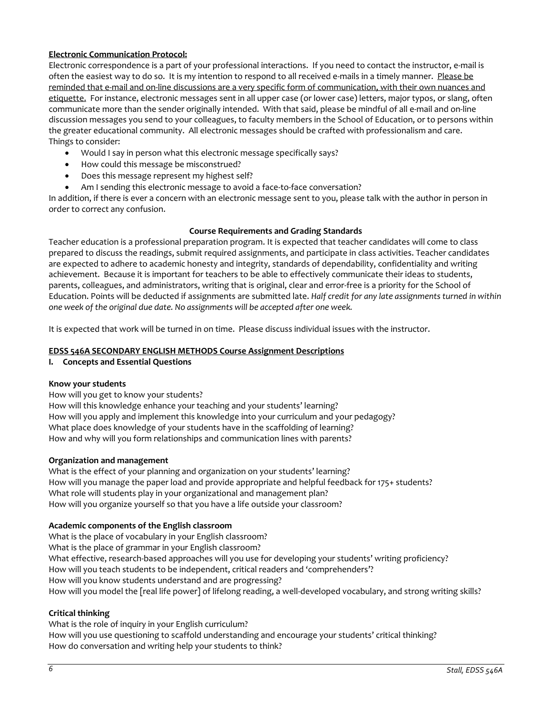# **Electronic Communication Protocol:**

Electronic correspondence is a part of your professional interactions. If you need to contact the instructor, e-mail is often the easiest way to do so. It is my intention to respond to all received e-mails in a timely manner. Please be reminded that e-mail and on-line discussions are a very specific form of communication, with their own nuances and etiquette. For instance, electronic messages sent in all upper case (or lower case) letters, major typos, or slang, often communicate more than the sender originally intended. With that said, please be mindful of all e-mail and on-line discussion messages you send to your colleagues, to faculty members in the School of Education, or to persons within the greater educational community. All electronic messages should be crafted with professionalism and care. Things to consider:

- Would I say in person what this electronic message specifically says?
- How could this message be misconstrued?
- Does this message represent my highest self?
- Am I sending this electronic message to avoid a face-to-face conversation?

In addition, if there is ever a concern with an electronic message sent to you, please talk with the author in person in order to correct any confusion.

# **Course Requirements and Grading Standards**

Teacher education is a professional preparation program. It is expected that teacher candidates will come to class prepared to discuss the readings, submit required assignments, and participate in class activities. Teacher candidates are expected to adhere to academic honesty and integrity, standards of dependability, confidentiality and writing achievement. Because it is important for teachers to be able to effectively communicate their ideas to students, parents, colleagues, and administrators, writing that is original, clear and error-free is a priority for the School of Education. Points will be deducted if assignments are submitted late. *Half credit for any late assignments turned in within one week of the original due date. No assignments will be accepted after one week.*

It is expected that work will be turned in on time. Please discuss individual issues with the instructor.

#### **EDSS 546A SECONDARY ENGLISH METHODS Course Assignment Descriptions**

**I. Concepts and Essential Questions**

# **Know your students**

How will you get to know your students? How will this knowledge enhance your teaching and your students' learning? How will you apply and implement this knowledge into your curriculum and your pedagogy? What place does knowledge of your students have in the scaffolding of learning? How and why will you form relationships and communication lines with parents?

# **Organization and management**

What is the effect of your planning and organization on your students' learning? How will you manage the paper load and provide appropriate and helpful feedback for 175+ students? What role will students play in your organizational and management plan? How will you organize yourself so that you have a life outside your classroom?

# **Academic components of the English classroom**

What is the place of vocabulary in your English classroom? What is the place of grammar in your English classroom? What effective, research-based approaches will you use for developing your students' writing proficiency? How will you teach students to be independent, critical readers and 'comprehenders'? How will you know students understand and are progressing? How will you model the [real life power] of lifelong reading, a well-developed vocabulary, and strong writing skills?

# **Critical thinking**

What is the role of inquiry in your English curriculum? How will you use questioning to scaffold understanding and encourage your students' critical thinking? How do conversation and writing help your students to think?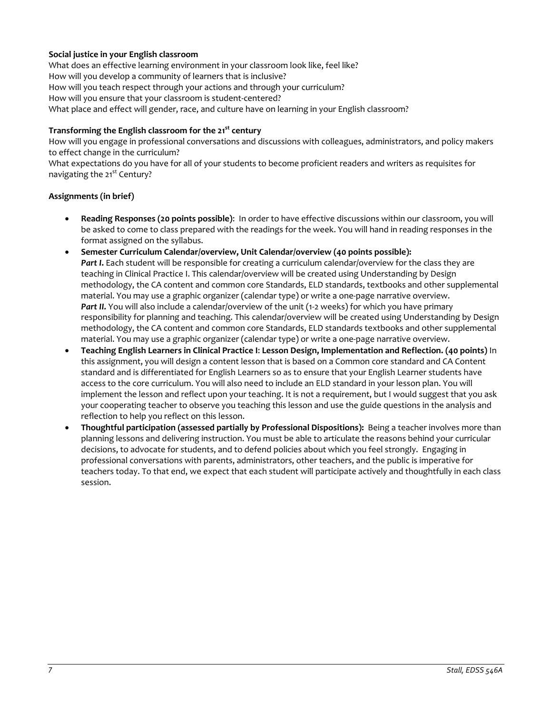# **Social justice in your English classroom**

What does an effective learning environment in your classroom look like, feel like? How will you develop a community of learners that is inclusive? How will you teach respect through your actions and through your curriculum? How will you ensure that your classroom is student-centered? What place and effect will gender, race, and culture have on learning in your English classroom?

# **Transforming the English classroom for the 21st century**

How will you engage in professional conversations and discussions with colleagues, administrators, and policy makers to effect change in the curriculum?

What expectations do you have for all of your students to become proficient readers and writers as requisites for navigating the 21<sup>st</sup> Century?

# **Assignments (in brief)**

- **Reading Responses (20 points possible)**: In order to have effective discussions within our classroom, you will be asked to come to class prepared with the readings for the week. You will hand in reading responses in the format assigned on the syllabus.
- **Semester Curriculum Calendar/overview, Unit Calendar/overview (40 points possible):**  Part I. Each student will be responsible for creating a curriculum calendar/overview for the class they are teaching in Clinical Practice I. This calendar/overview will be created using Understanding by Design methodology, the CA content and common core Standards, ELD standards, textbooks and other supplemental material. You may use a graphic organizer (calendar type) or write a one-page narrative overview. Part II. You will also include a calendar/overview of the unit (1-2 weeks) for which you have primary responsibility for planning and teaching. This calendar/overview will be created using Understanding by Design methodology, the CA content and common core Standards, ELD standards textbooks and other supplemental material. You may use a graphic organizer (calendar type) or write a one-page narrative overview.
- **Teaching English Learners in Clinical Practice I**: **Lesson Design, Implementation and Reflection. (40 points)** In this assignment, you will design a content lesson that is based on a Common core standard and CA Content standard and is differentiated for English Learners so as to ensure that your English Learner students have access to the core curriculum. You will also need to include an ELD standard in your lesson plan. You will implement the lesson and reflect upon your teaching. It is not a requirement, but I would suggest that you ask your cooperating teacher to observe you teaching this lesson and use the guide questions in the analysis and reflection to help you reflect on this lesson.
- **Thoughtful participation (assessed partially by Professional Dispositions):** Being a teacher involves more than planning lessons and delivering instruction. You must be able to articulate the reasons behind your curricular decisions, to advocate for students, and to defend policies about which you feel strongly. Engaging in professional conversations with parents, administrators, other teachers, and the public is imperative for teachers today. To that end, we expect that each student will participate actively and thoughtfully in each class session.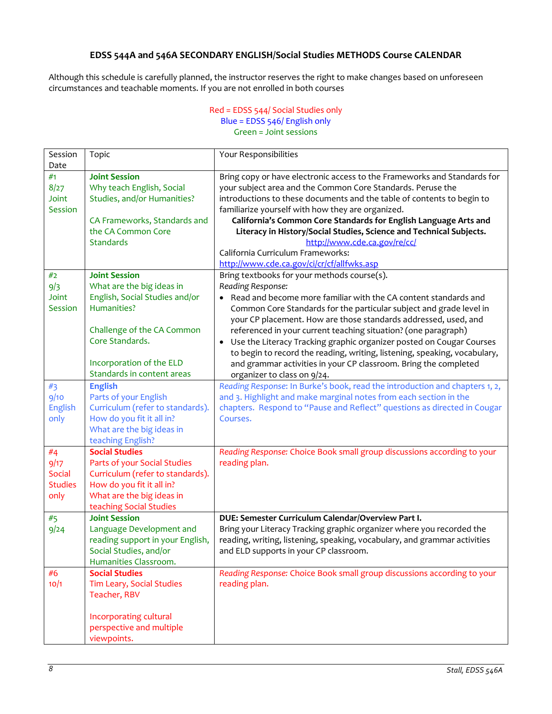# **EDSS 544A and 546A SECONDARY ENGLISH/Social Studies METHODS Course CALENDAR**

Although this schedule is carefully planned, the instructor reserves the right to make changes based on unforeseen circumstances and teachable moments. If you are not enrolled in both courses

# Red = EDSS 544/ Social Studies only Blue = EDSS 546/ English only Green = Joint sessions

| Session        | Topic                            | Your Responsibilities                                                                                                                                          |  |  |  |
|----------------|----------------------------------|----------------------------------------------------------------------------------------------------------------------------------------------------------------|--|--|--|
| Date           |                                  |                                                                                                                                                                |  |  |  |
| #1             | <b>Joint Session</b>             | Bring copy or have electronic access to the Frameworks and Standards for                                                                                       |  |  |  |
| 8/27           | Why teach English, Social        | your subject area and the Common Core Standards. Peruse the                                                                                                    |  |  |  |
| Joint          | Studies, and/or Humanities?      | introductions to these documents and the table of contents to begin to                                                                                         |  |  |  |
| Session        |                                  | familiarize yourself with how they are organized.                                                                                                              |  |  |  |
|                | CA Frameworks, Standards and     | California's Common Core Standards for English Language Arts and                                                                                               |  |  |  |
|                | the CA Common Core               | Literacy in History/Social Studies, Science and Technical Subjects.                                                                                            |  |  |  |
|                | <b>Standards</b>                 | http://www.cde.ca.gov/re/cc/                                                                                                                                   |  |  |  |
|                |                                  | California Curriculum Frameworks:                                                                                                                              |  |  |  |
|                |                                  | http://www.cde.ca.gov/ci/cr/cf/allfwks.asp                                                                                                                     |  |  |  |
| #2             | <b>Joint Session</b>             | Bring textbooks for your methods course(s).                                                                                                                    |  |  |  |
| 9/3            | What are the big ideas in        | Reading Response:                                                                                                                                              |  |  |  |
| Joint          | English, Social Studies and/or   | Read and become more familiar with the CA content standards and                                                                                                |  |  |  |
| Session        | Humanities?                      | Common Core Standards for the particular subject and grade level in                                                                                            |  |  |  |
|                | Challenge of the CA Common       | your CP placement. How are those standards addressed, used, and                                                                                                |  |  |  |
|                | Core Standards.                  | referenced in your current teaching situation? (one paragraph)                                                                                                 |  |  |  |
|                |                                  | Use the Literacy Tracking graphic organizer posted on Cougar Courses<br>$\bullet$<br>to begin to record the reading, writing, listening, speaking, vocabulary, |  |  |  |
|                | Incorporation of the ELD         | and grammar activities in your CP classroom. Bring the completed                                                                                               |  |  |  |
|                | Standards in content areas       | organizer to class on 9/24.                                                                                                                                    |  |  |  |
| #3             | <b>English</b>                   | Reading Response: In Burke's book, read the introduction and chapters 1, 2,                                                                                    |  |  |  |
| 9/10           | Parts of your English            | and 3. Highlight and make marginal notes from each section in the                                                                                              |  |  |  |
| English        | Curriculum (refer to standards). | chapters. Respond to "Pause and Reflect" questions as directed in Cougar                                                                                       |  |  |  |
| only           | How do you fit it all in?        | Courses.                                                                                                                                                       |  |  |  |
|                | What are the big ideas in        |                                                                                                                                                                |  |  |  |
|                | teaching English?                |                                                                                                                                                                |  |  |  |
| #4             | <b>Social Studies</b>            | Reading Response: Choice Book small group discussions according to your                                                                                        |  |  |  |
| 9/17           | Parts of your Social Studies     | reading plan.                                                                                                                                                  |  |  |  |
| Social         | Curriculum (refer to standards). |                                                                                                                                                                |  |  |  |
| <b>Studies</b> | How do you fit it all in?        |                                                                                                                                                                |  |  |  |
| only           | What are the big ideas in        |                                                                                                                                                                |  |  |  |
|                | teaching Social Studies          |                                                                                                                                                                |  |  |  |
| #5             | <b>Joint Session</b>             | DUE: Semester Curriculum Calendar/Overview Part I.                                                                                                             |  |  |  |
| 9/24           | Language Development and         | Bring your Literacy Tracking graphic organizer where you recorded the                                                                                          |  |  |  |
|                | reading support in your English, | reading, writing, listening, speaking, vocabulary, and grammar activities                                                                                      |  |  |  |
|                | Social Studies, and/or           | and ELD supports in your CP classroom.                                                                                                                         |  |  |  |
|                | Humanities Classroom.            |                                                                                                                                                                |  |  |  |
| #6             | <b>Social Studies</b>            | Reading Response: Choice Book small group discussions according to your                                                                                        |  |  |  |
| 10/1           | Tim Leary, Social Studies        | reading plan.                                                                                                                                                  |  |  |  |
|                | Teacher, RBV                     |                                                                                                                                                                |  |  |  |
|                | Incorporating cultural           |                                                                                                                                                                |  |  |  |
|                | perspective and multiple         |                                                                                                                                                                |  |  |  |
|                | viewpoints.                      |                                                                                                                                                                |  |  |  |
|                |                                  |                                                                                                                                                                |  |  |  |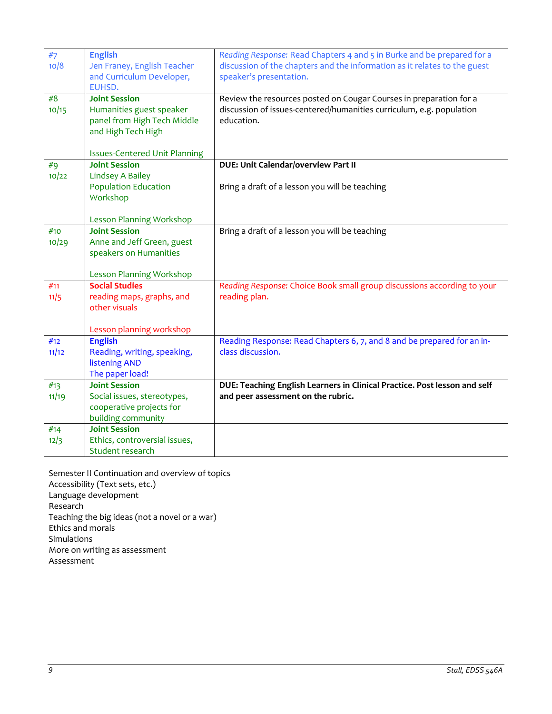| #7<br>10/8   | <b>English</b><br>Jen Franey, English Teacher<br>and Curriculum Developer,<br>EUHSD.                                                          | Reading Response: Read Chapters 4 and 5 in Burke and be prepared for a<br>discussion of the chapters and the information as it relates to the guest<br>speaker's presentation. |
|--------------|-----------------------------------------------------------------------------------------------------------------------------------------------|--------------------------------------------------------------------------------------------------------------------------------------------------------------------------------|
| #8<br>10/15  | <b>Joint Session</b><br>Humanities guest speaker<br>panel from High Tech Middle<br>and High Tech High<br><b>Issues-Centered Unit Planning</b> | Review the resources posted on Cougar Courses in preparation for a<br>discussion of issues-centered/humanities curriculum, e.g. population<br>education.                       |
| #q<br>10/22  | <b>Joint Session</b><br><b>Lindsey A Bailey</b><br><b>Population Education</b><br>Workshop<br><b>Lesson Planning Workshop</b>                 | DUE: Unit Calendar/overview Part II<br>Bring a draft of a lesson you will be teaching                                                                                          |
| #10<br>10/29 | <b>Joint Session</b><br>Anne and Jeff Green, guest<br>speakers on Humanities<br><b>Lesson Planning Workshop</b>                               | Bring a draft of a lesson you will be teaching                                                                                                                                 |
| #11<br>11/5  | <b>Social Studies</b><br>reading maps, graphs, and<br>other visuals<br>Lesson planning workshop                                               | Reading Response: Choice Book small group discussions according to your<br>reading plan.                                                                                       |
| #12<br>11/12 | <b>English</b><br>Reading, writing, speaking,<br><b>listening AND</b><br>The paper load!                                                      | Reading Response: Read Chapters 6, 7, and 8 and be prepared for an in-<br>class discussion.                                                                                    |
| #13<br>11/19 | <b>Joint Session</b><br>Social issues, stereotypes,<br>cooperative projects for<br>building community                                         | DUE: Teaching English Learners in Clinical Practice. Post lesson and self<br>and peer assessment on the rubric.                                                                |
| #14<br>12/3  | <b>Joint Session</b><br>Ethics, controversial issues,<br>Student research                                                                     |                                                                                                                                                                                |

Semester II Continuation and overview of topics Accessibility (Text sets, etc.) Language development Research Teaching the big ideas (not a novel or a war) Ethics and morals Simulations More on writing as assessment Assessment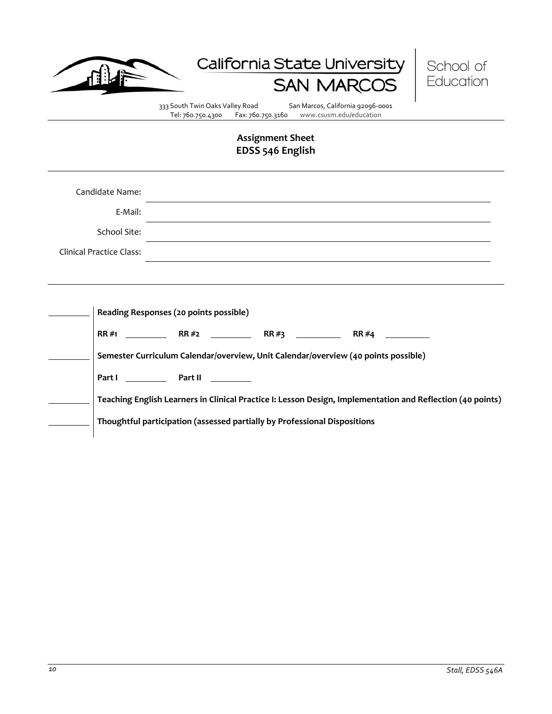

# California State University SAN N



333 South Twin Oaks Valley Road San Marcos, California 92096-0001<br>Tel: 760.750.4300 Fax: 760.750.3160 www.csusm.edu/education www.csusm.edu/education

# **Assignment Sheet EDSS 546 English**

| Candidate Name:          |                                                                                                                                                                                                                                                                                                                                                       |  |  |  |  |  |  |  |
|--------------------------|-------------------------------------------------------------------------------------------------------------------------------------------------------------------------------------------------------------------------------------------------------------------------------------------------------------------------------------------------------|--|--|--|--|--|--|--|
| E-Mail:                  | and the control of the control of the control of the control of the control of the control of the control of the                                                                                                                                                                                                                                      |  |  |  |  |  |  |  |
| School Site:             |                                                                                                                                                                                                                                                                                                                                                       |  |  |  |  |  |  |  |
| Clinical Practice Class: |                                                                                                                                                                                                                                                                                                                                                       |  |  |  |  |  |  |  |
|                          |                                                                                                                                                                                                                                                                                                                                                       |  |  |  |  |  |  |  |
|                          | Reading Responses (20 points possible)<br>$RR \#4$<br>Semester Curriculum Calendar/overview, Unit Calendar/overview (40 points possible)<br>Part I Part II<br>Teaching English Learners in Clinical Practice I: Lesson Design, Implementation and Reflection (40 points)<br>Thoughtful participation (assessed partially by Professional Dispositions |  |  |  |  |  |  |  |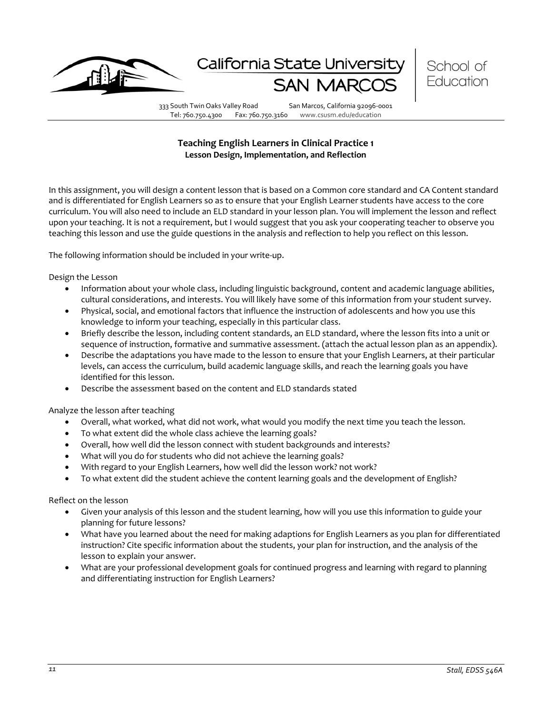

California State Universi



333 South Twin Oaks Valley Road San Marcos, California 92096-0001

Tel: 760.750.4300 Fax: 760.750.3160 www.csusm.edu/education

# **Teaching English Learners in Clinical Practice 1 Lesson Design, Implementation, and Reflection**

In this assignment, you will design a content lesson that is based on a Common core standard and CA Content standard and is differentiated for English Learners so as to ensure that your English Learner students have access to the core curriculum. You will also need to include an ELD standard in your lesson plan. You will implement the lesson and reflect upon your teaching. It is not a requirement, but I would suggest that you ask your cooperating teacher to observe you teaching this lesson and use the guide questions in the analysis and reflection to help you reflect on this lesson.

The following information should be included in your write-up.

Design the Lesson

- Information about your whole class, including linguistic background, content and academic language abilities, cultural considerations, and interests. You will likely have some of this information from your student survey.
- Physical, social, and emotional factors that influence the instruction of adolescents and how you use this knowledge to inform your teaching, especially in this particular class.
- Briefly describe the lesson, including content standards, an ELD standard, where the lesson fits into a unit or sequence of instruction, formative and summative assessment. (attach the actual lesson plan as an appendix).
- Describe the adaptations you have made to the lesson to ensure that your English Learners, at their particular levels, can access the curriculum, build academic language skills, and reach the learning goals you have identified for this lesson.
- Describe the assessment based on the content and ELD standards stated

Analyze the lesson after teaching

- Overall, what worked, what did not work, what would you modify the next time you teach the lesson.
- To what extent did the whole class achieve the learning goals?
- Overall, how well did the lesson connect with student backgrounds and interests?
- What will you do for students who did not achieve the learning goals?
- With regard to your English Learners, how well did the lesson work? not work?
- To what extent did the student achieve the content learning goals and the development of English?

Reflect on the lesson

- Given your analysis of this lesson and the student learning, how will you use this information to guide your planning for future lessons?
- What have you learned about the need for making adaptions for English Learners as you plan for differentiated instruction? Cite specific information about the students, your plan for instruction, and the analysis of the lesson to explain your answer.
- What are your professional development goals for continued progress and learning with regard to planning and differentiating instruction for English Learners?